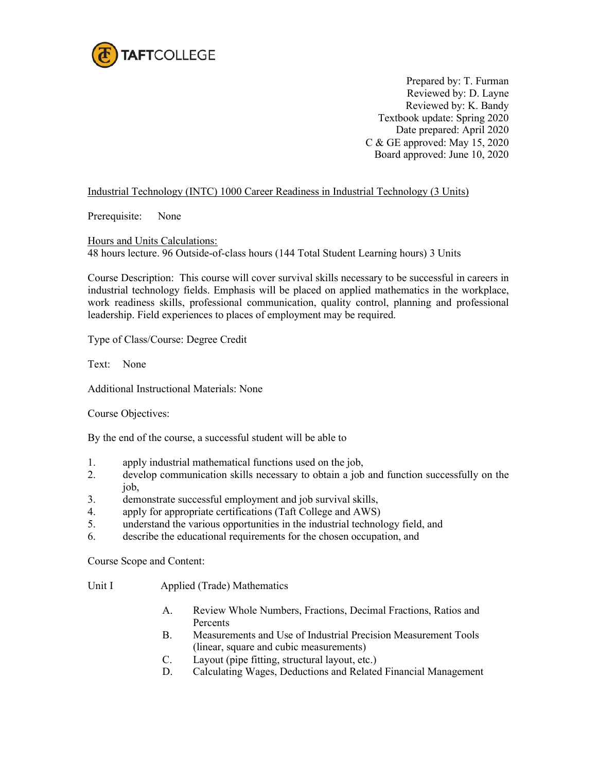

Prepared by: T. Furman Reviewed by: D. Layne Reviewed by: K. Bandy Textbook update: Spring 2020 Date prepared: April 2020 C & GE approved: May 15, 2020 Board approved: June 10, 2020

## Industrial Technology (INTC) 1000 Career Readiness in Industrial Technology (3 Units)

Prerequisite: None

Hours and Units Calculations: 48 hours lecture. 96 Outside-of-class hours (144 Total Student Learning hours) 3 Units

Course Description: This course will cover survival skills necessary to be successful in careers in industrial technology fields. Emphasis will be placed on applied mathematics in the workplace, work readiness skills, professional communication, quality control, planning and professional leadership. Field experiences to places of employment may be required.

Type of Class/Course: Degree Credit

Text: None

Additional Instructional Materials: None

Course Objectives:

By the end of the course, a successful student will be able to

- 1. apply industrial mathematical functions used on the job,
- 2. develop communication skills necessary to obtain a job and function successfully on the job,
- 3. demonstrate successful employment and job survival skills,
- 4. apply for appropriate certifications (Taft College and AWS)
- 5. understand the various opportunities in the industrial technology field, and
- 6. describe the educational requirements for the chosen occupation, and

Course Scope and Content:

Unit I Applied (Trade) Mathematics

- A. Review Whole Numbers, Fractions, Decimal Fractions, Ratios and **Percents**
- B. Measurements and Use of Industrial Precision Measurement Tools (linear, square and cubic measurements)
- C. Layout (pipe fitting, structural layout, etc.)
- D. Calculating Wages, Deductions and Related Financial Management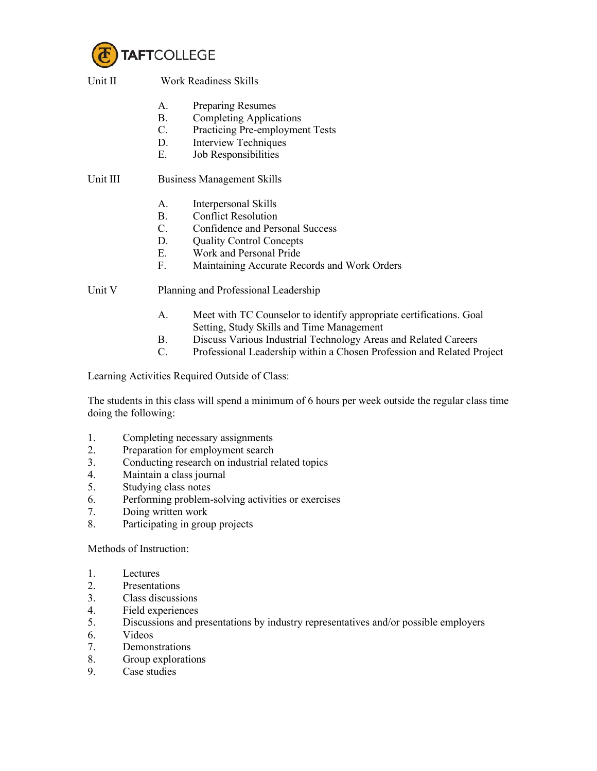

Unit II Work Readiness Skills

- A. Preparing Resumes
- B. Completing Applications
- C. Practicing Pre-employment Tests
- D. Interview Techniques
- E. Job Responsibilities

Unit III Business Management Skills

- A. Interpersonal Skills
- B. Conflict Resolution
- C. Confidence and Personal Success
- D. Quality Control Concepts
- E. Work and Personal Pride
- F. Maintaining Accurate Records and Work Orders

Unit V Planning and Professional Leadership

- A. Meet with TC Counselor to identify appropriate certifications. Goal Setting, Study Skills and Time Management
- B. Discuss Various Industrial Technology Areas and Related Careers
- C. Professional Leadership within a Chosen Profession and Related Project

Learning Activities Required Outside of Class:

The students in this class will spend a minimum of 6 hours per week outside the regular class time doing the following:

- 1. Completing necessary assignments
- 2. Preparation for employment search
- 3. Conducting research on industrial related topics
- 4. Maintain a class journal
- 5. Studying class notes
- 6. Performing problem-solving activities or exercises
- 7. Doing written work
- 8. Participating in group projects

Methods of Instruction:

- 1. Lectures
- 2. Presentations
- 3. Class discussions
- 4. Field experiences
- 5. Discussions and presentations by industry representatives and/or possible employers
- 6. Videos
- 7. Demonstrations
- 8. Group explorations
- 9. Case studies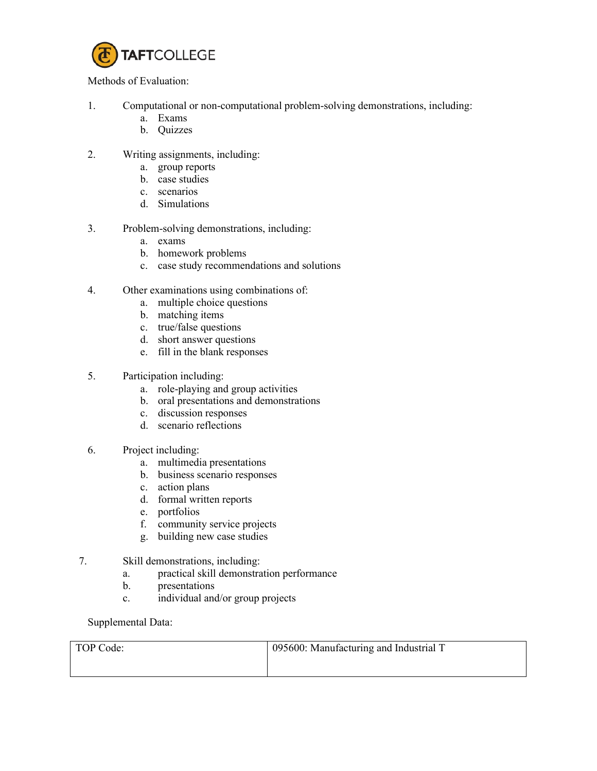

Methods of Evaluation:

- 1. Computational or non-computational problem-solving demonstrations, including:
	- a. Exams
	- b. Quizzes
- 2. Writing assignments, including:
	- a. group reports
	- b. case studies
	- c. scenarios
	- d. Simulations
- 3. Problem-solving demonstrations, including:
	- a. exams
	- b. homework problems
	- c. case study recommendations and solutions
- 4. Other examinations using combinations of:
	- a. multiple choice questions
	- b. matching items
	- c. true/false questions
	- d. short answer questions
	- e. fill in the blank responses
- 5. Participation including:
	- a. role-playing and group activities
	- b. oral presentations and demonstrations
	- c. discussion responses
	- d. scenario reflections
- 6. Project including:
	- a. multimedia presentations
	- b. business scenario responses
	- c. action plans
	- d. formal written reports
	- e. portfolios
	- f. community service projects
	- g. building new case studies
- 7. Skill demonstrations, including:
	- a. practical skill demonstration performance
	- b. presentations
	- c. individual and/or group projects

Supplemental Data:

| TOP Code: | 095600: Manufacturing and Industrial T |
|-----------|----------------------------------------|
|           |                                        |